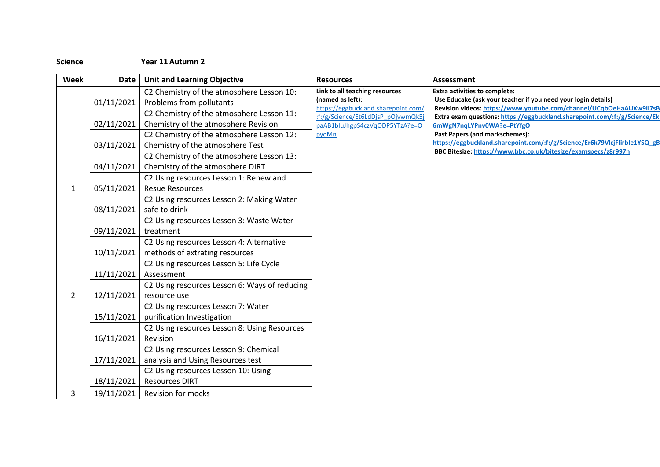## **Science Year 11 Autumn 2**

| Week           | Date       | <b>Unit and Learning Objective</b>            | <b>Resources</b>                                                                                                                  | <b>Assessment</b>                                                                                                                           |
|----------------|------------|-----------------------------------------------|-----------------------------------------------------------------------------------------------------------------------------------|---------------------------------------------------------------------------------------------------------------------------------------------|
|                |            | C2 Chemistry of the atmosphere Lesson 10:     | Link to all teaching resources<br><b>Extra activities to complete:</b><br>(named as left):<br>https://eggbuckland.sharepoint.com/ |                                                                                                                                             |
|                | 01/11/2021 | Problems from pollutants                      |                                                                                                                                   | Use Educake (ask your teacher if you need your login details)<br>Revision videos: https://www.youtube.com/channel/UCqbOeHaAUXw9II7sB        |
|                |            | C2 Chemistry of the atmosphere Lesson 11:     | :f:/g/Science/Et6LdDjsP_pOjvwmQk5j                                                                                                | Extra exam questions: https://eggbuckland.sharepoint.com/:f:/g/Science/Eki                                                                  |
|                | 02/11/2021 | Chemistry of the atmosphere Revision          | paAB1bluJhgpS4czVqODP5YTzA?e=O                                                                                                    | 6mWgN7nqLYPnv0WA?e=PtYfgO                                                                                                                   |
|                |            | C2 Chemistry of the atmosphere Lesson 12:     | pydMn                                                                                                                             | Past Papers (and markschemes):                                                                                                              |
|                | 03/11/2021 | Chemistry of the atmosphere Test              |                                                                                                                                   | https://eggbuckland.sharepoint.com/:f:/g/Science/Er6k79VlcjFlirble1YSQ gB<br>BBC Bitesize: https://www.bbc.co.uk/bitesize/examspecs/z8r997h |
|                |            | C2 Chemistry of the atmosphere Lesson 13:     |                                                                                                                                   |                                                                                                                                             |
|                | 04/11/2021 | Chemistry of the atmosphere DIRT              |                                                                                                                                   |                                                                                                                                             |
|                |            | C2 Using resources Lesson 1: Renew and        |                                                                                                                                   |                                                                                                                                             |
| $\mathbf{1}$   | 05/11/2021 | <b>Resue Resources</b>                        |                                                                                                                                   |                                                                                                                                             |
|                |            | C2 Using resources Lesson 2: Making Water     |                                                                                                                                   |                                                                                                                                             |
|                | 08/11/2021 | safe to drink                                 |                                                                                                                                   |                                                                                                                                             |
|                |            | C2 Using resources Lesson 3: Waste Water      |                                                                                                                                   |                                                                                                                                             |
|                | 09/11/2021 | treatment                                     |                                                                                                                                   |                                                                                                                                             |
|                |            | C2 Using resources Lesson 4: Alternative      |                                                                                                                                   |                                                                                                                                             |
|                | 10/11/2021 | methods of extrating resources                |                                                                                                                                   |                                                                                                                                             |
|                |            | C2 Using resources Lesson 5: Life Cycle       |                                                                                                                                   |                                                                                                                                             |
|                | 11/11/2021 | Assessment                                    |                                                                                                                                   |                                                                                                                                             |
|                |            | C2 Using resources Lesson 6: Ways of reducing |                                                                                                                                   |                                                                                                                                             |
| $\overline{2}$ | 12/11/2021 | resource use                                  |                                                                                                                                   |                                                                                                                                             |
|                |            | C2 Using resources Lesson 7: Water            |                                                                                                                                   |                                                                                                                                             |
|                | 15/11/2021 | purification Investigation                    |                                                                                                                                   |                                                                                                                                             |
|                |            | C2 Using resources Lesson 8: Using Resources  |                                                                                                                                   |                                                                                                                                             |
|                | 16/11/2021 | Revision                                      |                                                                                                                                   |                                                                                                                                             |
|                |            | C2 Using resources Lesson 9: Chemical         |                                                                                                                                   |                                                                                                                                             |
|                | 17/11/2021 | analysis and Using Resources test             |                                                                                                                                   |                                                                                                                                             |
|                |            | C2 Using resources Lesson 10: Using           |                                                                                                                                   |                                                                                                                                             |
|                | 18/11/2021 | <b>Resources DIRT</b>                         |                                                                                                                                   |                                                                                                                                             |
| 3              | 19/11/2021 | <b>Revision for mocks</b>                     |                                                                                                                                   |                                                                                                                                             |